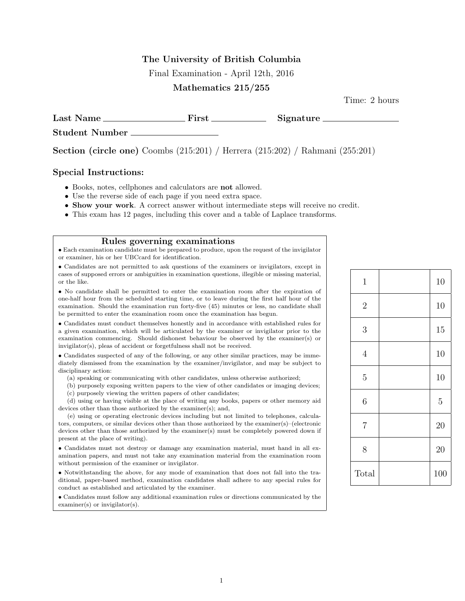### The University of British Columbia

Final Examination - April 12th, 2016

### Mathematics 215/255

Time: 2 hours

Last Name First Signature Student Number

Section (circle one) Coombs (215:201) / Herrera (215:202) / Rahmani (255:201)

#### Special Instructions:

- Books, notes, cellphones and calculators are not allowed.
- Use the reverse side of each page if you need extra space.
- Show your work. A correct answer without intermediate steps will receive no credit.
- This exam has 12 pages, including this cover and a table of Laplace transforms.

#### Rules governing examinations

• Each examination candidate must be prepared to produce, upon the request of the invigilator or examiner, his or her UBCcard for identification.

• Candidates are not permitted to ask questions of the examiners or invigilators, except in cases of supposed errors or ambiguities in examination questions, illegible or missing material, or the like.

• No candidate shall be permitted to enter the examination room after the expiration of one-half hour from the scheduled starting time, or to leave during the first half hour of the examination. Should the examination run forty-five (45) minutes or less, no candidate shall be permitted to enter the examination room once the examination has begun.

• Candidates must conduct themselves honestly and in accordance with established rules for a given examination, which will be articulated by the examiner or invigilator prior to the examination commencing. Should dishonest behaviour be observed by the examiner(s) or invigilator(s), pleas of accident or forgetfulness shall not be received.

• Candidates suspected of any of the following, or any other similar practices, may be immediately dismissed from the examination by the examiner/invigilator, and may be subject to disciplinary action:

(a) speaking or communicating with other candidates, unless otherwise authorized;

(b) purposely exposing written papers to the view of other candidates or imaging devices; (c) purposely viewing the written papers of other candidates;

(d) using or having visible at the place of writing any books, papers or other memory aid devices other than those authorized by the examiner(s); and,

(e) using or operating electronic devices including but not limited to telephones, calculators, computers, or similar devices other than those authorized by the examiner(s)–(electronic devices other than those authorized by the examiner(s) must be completely powered down if present at the place of writing).

• Candidates must not destroy or damage any examination material, must hand in all examination papers, and must not take any examination material from the examination room without permission of the examiner or invigilator.

• Notwithstanding the above, for any mode of examination that does not fall into the traditional, paper-based method, examination candidates shall adhere to any special rules for conduct as established and articulated by the examiner.

• Candidates must follow any additional examination rules or directions communicated by the examiner(s) or invigilator(s).

| $1\,$          | 10             |
|----------------|----------------|
| $\sqrt{2}$     | 10             |
| $\mathfrak{Z}$ | 15             |
| $\overline{4}$ | 10             |
| $\overline{5}$ | 10             |
| $\sqrt{6}$     | $\overline{5}$ |
| $\overline{7}$ | 20             |
| 8              | 20             |
| Total          | 100            |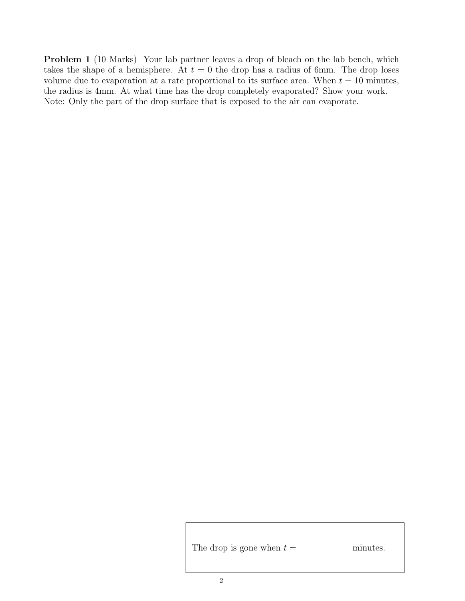Problem 1 (10 Marks) Your lab partner leaves a drop of bleach on the lab bench, which takes the shape of a hemisphere. At  $t = 0$  the drop has a radius of 6mm. The drop loses volume due to evaporation at a rate proportional to its surface area. When  $t = 10$  minutes, the radius is 4mm. At what time has the drop completely evaporated? Show your work. Note: Only the part of the drop surface that is exposed to the air can evaporate.

The drop is gone when  $t =$  minutes.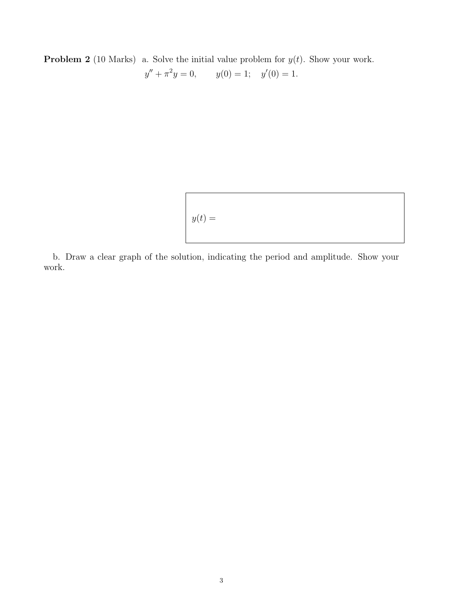**Problem 2** (10 Marks) a. Solve the initial value problem for  $y(t)$ . Show your work.  $y'' + \pi^2 y = 0,$   $y(0) = 1;$   $y'(0) = 1.$ 

$$
y(t) =
$$

b. Draw a clear graph of the solution, indicating the period and amplitude. Show your work.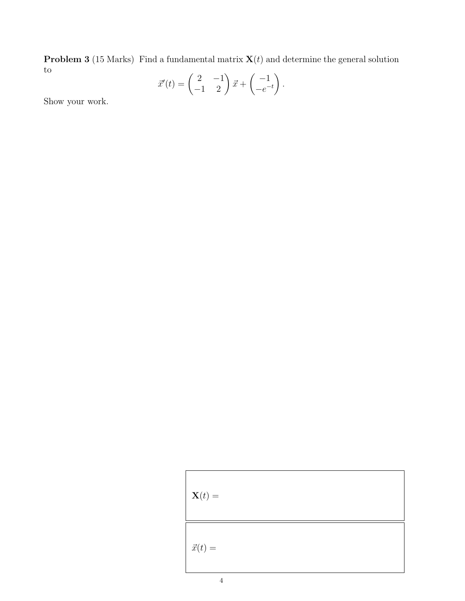**Problem 3** (15 Marks) Find a fundamental matrix  $\mathbf{X}(t)$  and determine the general solution to

$$
\vec{x}'(t) = \begin{pmatrix} 2 & -1 \\ -1 & 2 \end{pmatrix} \vec{x} + \begin{pmatrix} -1 \\ -e^{-t} \end{pmatrix}.
$$

Show your work.

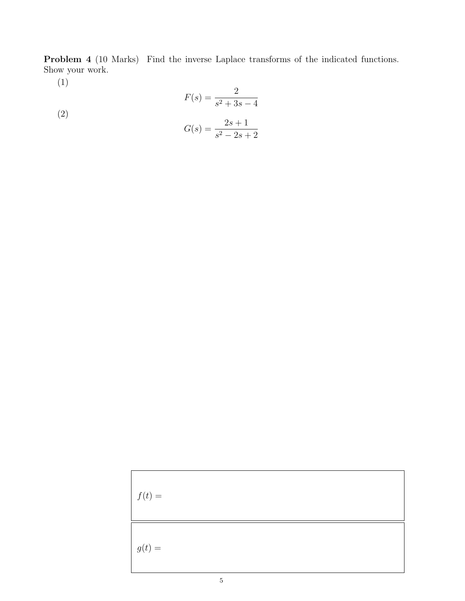Problem 4 (10 Marks) Find the inverse Laplace transforms of the indicated functions. Show your work.

(1)

(2)  

$$
F(s) = \frac{2}{s^2 + 3s - 4}
$$

$$
G(s) = \frac{2s + 1}{s^2 - 2s + 2}
$$

| $f(t) =$ |  |  |
|----------|--|--|
| $g(t) =$ |  |  |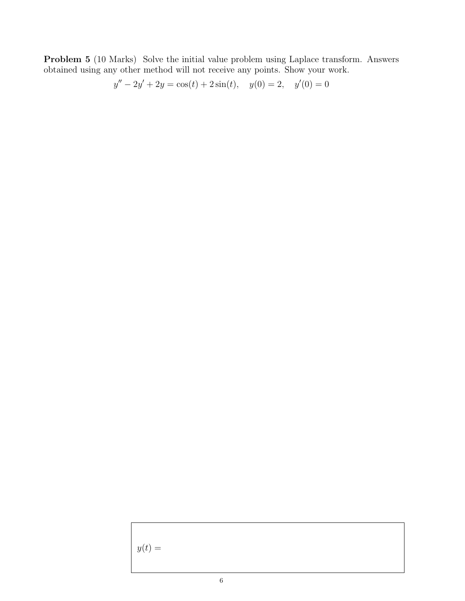Problem 5 (10 Marks) Solve the initial value problem using Laplace transform. Answers obtained using any other method will not receive any points. Show your work.

$$
y'' - 2y' + 2y = \cos(t) + 2\sin(t), \quad y(0) = 2, \quad y'(0) = 0
$$

 $y(t) =$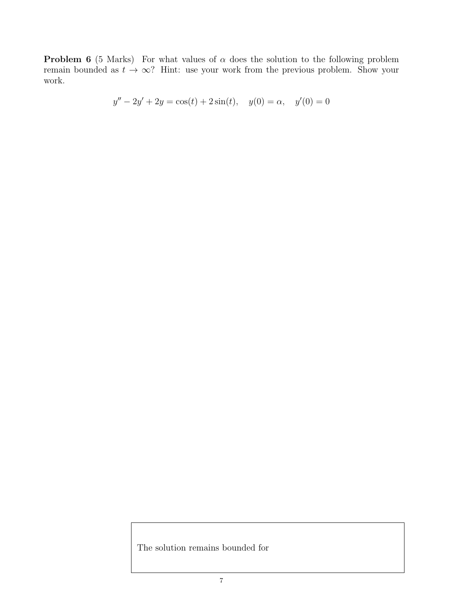**Problem 6** (5 Marks) For what values of  $\alpha$  does the solution to the following problem remain bounded as  $t \to \infty$ ? Hint: use your work from the previous problem. Show your work.

$$
y'' - 2y' + 2y = \cos(t) + 2\sin(t), \quad y(0) = \alpha, \quad y'(0) = 0
$$

The solution remains bounded for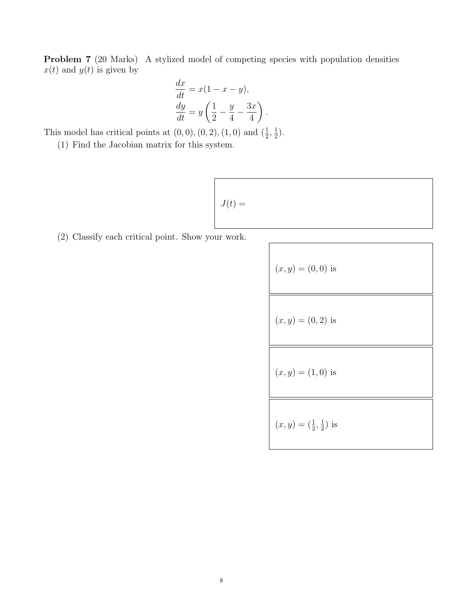Problem 7 (20 Marks) A stylized model of competing species with population densities  $x(t)$  and  $y(t)$  is given by

$$
\frac{dx}{dt} = x(1 - x - y),
$$
  

$$
\frac{dy}{dt} = y\left(\frac{1}{2} - \frac{y}{4} - \frac{3x}{4}\right)
$$

.

This model has critical points at  $(0,0)$ ,  $(0, 2)$ ,  $(1, 0)$  and  $(\frac{1}{2}, \frac{1}{2})$  $(\frac{1}{2})$ .

(1) Find the Jacobian matrix for this system.

$$
J(t) =
$$

(2) Classify each critical point. Show your work.

(x, y) = (0, 0) is (x, y) = (0, 2) is (x, y) = (1, 0) is (x, y) = ( <sup>1</sup> 1 , ) is 2 2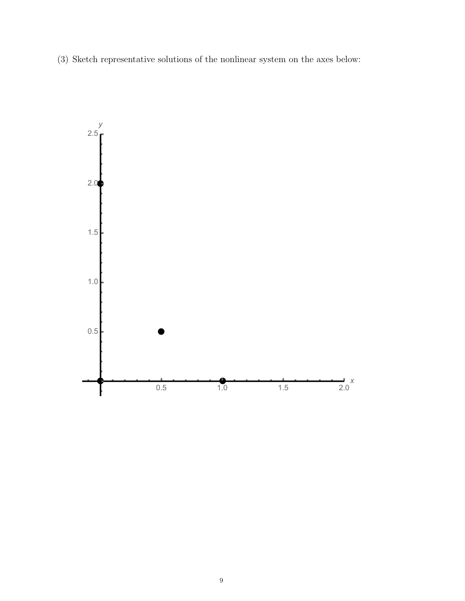(3) Sketch representative solutions of the nonlinear system on the axes below:

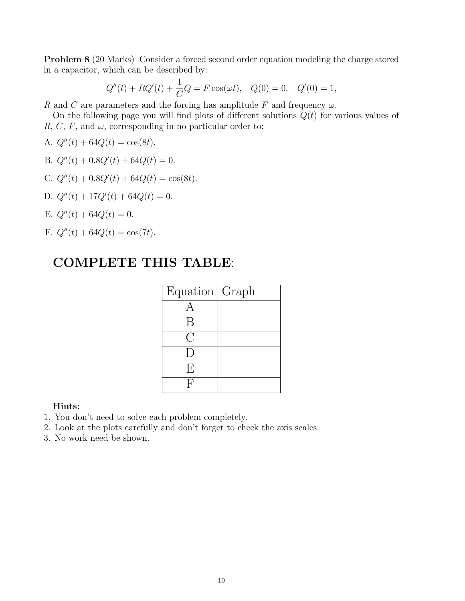Problem 8 (20 Marks) Consider a forced second order equation modeling the charge stored in a capacitor, which can be described by:

$$
Q''(t) + RQ'(t) + \frac{1}{C}Q = F\cos(\omega t), \quad Q(0) = 0, \quad Q'(0) = 1,
$$

R and C are parameters and the forcing has amplitude F and frequency  $\omega$ .

On the following page you will find plots of different solutions  $Q(t)$  for various values of R, C, F, and  $\omega$ , corresponding in no particular order to:

- A.  $Q''(t) + 64Q(t) = \cos(8t)$ .
- B.  $Q''(t) + 0.8Q'(t) + 64Q(t) = 0.$
- C.  $Q''(t) + 0.8Q'(t) + 64Q(t) = \cos(8t)$ .
- D.  $Q''(t) + 17Q'(t) + 64Q(t) = 0.$
- E.  $Q''(t) + 64Q(t) = 0$ .
- F.  $Q''(t) + 64Q(t) = \cos(7t)$ .

## COMPLETE THIS TABLE:

| Equation   Graph                                  |  |
|---------------------------------------------------|--|
|                                                   |  |
| B                                                 |  |
| $\left(\begin{array}{c} \cdot \end{array}\right)$ |  |
| $\vert$ )                                         |  |
| E                                                 |  |
|                                                   |  |

### Hints:

- 1. You don't need to solve each problem completely.
- 2. Look at the plots carefully and don't forget to check the axis scales.
- 3. No work need be shown.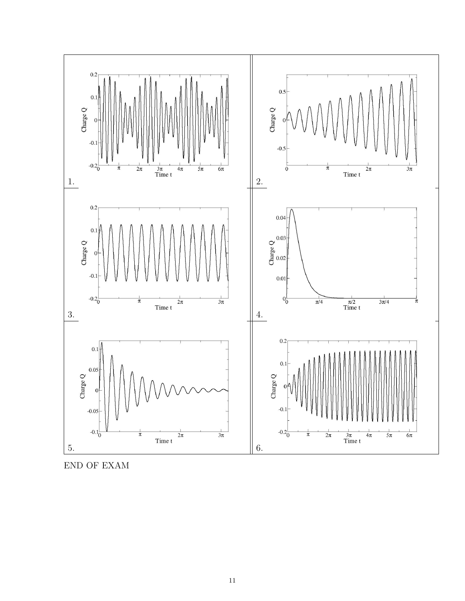

END OF EXAM